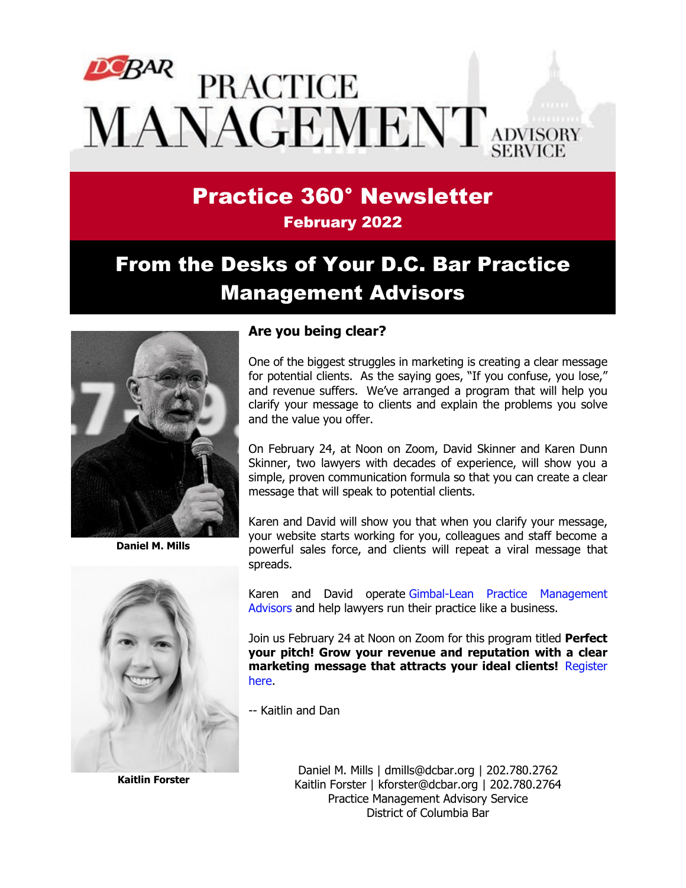# **PRACTICE MANAGEMENT** ADVISORY

## Practice 360° Newsletter February 2022

# From the Desks of Your D.C. Bar Practice Management Advisors



**Daniel M. Mills**



**Kaitlin Forster**

#### **Are you being clear?**

One of the biggest struggles in marketing is creating a clear message for potential clients. As the saying goes, "If you confuse, you lose," and revenue suffers. We've arranged a program that will help you clarify your message to clients and explain the problems you solve and the value you offer.

On February 24, at Noon on Zoom, David Skinner and Karen Dunn Skinner, two lawyers with decades of experience, will show you a simple, proven communication formula so that you can create a clear message that will speak to potential clients.

Karen and David will show you that when you clarify your message, your website starts working for you, colleagues and staff become a powerful sales force, and clients will repeat a viral message that spreads.

Karen and David operate [Gimbal-Lean Practice Management](http://www.gimbalcanada.com/)  [Advisors](http://www.gimbalcanada.com/) and help lawyers run their practice like a business.

Join us February 24 at Noon on Zoom for this program titled **Perfect your pitch! Grow your revenue and reputation with a clear marketing message that attracts your ideal clients!** [Register](https://www.dcbar.org/for-lawyers/practice-management-advisory-service/courses-and-trainings/small-firm-lunch-and-learn-series?utm_source=Real%20Magnet&utm_medium=INSERT_CHANNEL&utm_campaign=INSERT_LINK_ID)  [here.](https://www.dcbar.org/for-lawyers/practice-management-advisory-service/courses-and-trainings/small-firm-lunch-and-learn-series?utm_source=Real%20Magnet&utm_medium=INSERT_CHANNEL&utm_campaign=INSERT_LINK_ID)

-- Kaitlin and Dan

Daniel M. Mills | [dmills@dcbar.org](mailto:dmills@dcbar.org) | 202.780.2762 Kaitlin Forster | [kforster@dcbar.org](mailto:kforster@dcbar.org) | 202.780.2764 Practice Management Advisory Service District of Columbia Bar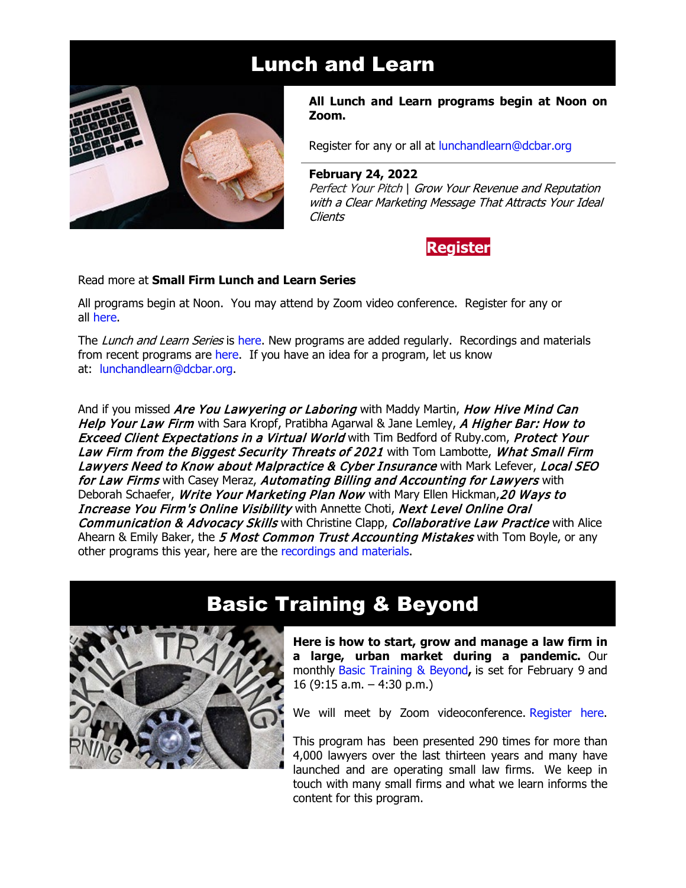## Lunch and Learn



**All Lunch and Learn programs begin at Noon on Zoom.**

Register for any or all at [lunchandlearn@dcbar.org](mailto:lunchandlearn@dcbar.org?subject=Lunch%20and%20Learn)

#### **February 24, 2022** Perfect Your Pitch | Grow Your Revenue and Reputation with a Clear Marketing Message That Attracts Your Ideal Clients



#### Read more at **[Small Firm Lunch](https://www.dcbar.org/for-lawyers/practice-management-advisory-service/courses-and-trainings/small-firm-lunch-and-learn-series?utm_source=Real%20Magnet&utm_medium=INSERT_CHANNEL&utm_campaign=INSERT_LINK_ID) and Learn Series**

All programs begin at Noon. You may attend by Zoom video conference. Register for any or all [here.](https://www.dcbar.org/for-lawyers/practice-management-advisory-service/courses-and-trainings/small-firm-lunch-and-learn-series?utm_source=Real%20Magnet&utm_medium=INSERT_CHANNEL&utm_campaign=INSERT_LINK_ID)

The *Lunch and Learn Series* is [here.](https://www.dcbar.org/for-lawyers/practice-management-advisory-service/courses-and-trainings/small-firm-lunch-and-learn-series?utm_source=Real%20Magnet&utm_medium=INSERT_CHANNEL&utm_campaign=INSERT_LINK_ID) New programs are added regularly. Recordings and materials from recent programs are [here.](https://www.dcbar.org/for-lawyers/practice-management-advisory-service/courses-and-trainings/small-firm-lunch-and-learn-series/past-lunch-and-learn-programs?utm_source=Real%20Magnet&utm_medium=INSERT_CHANNEL&utm_campaign=INSERT_LINK_ID) If you have an idea for a program, let us know at: [lunchandlearn@dcbar.org.](mailto:lunchandlearn@dcbar.org)

And if you missed Are You Lawyering or Laboring with Maddy Martin, How Hive Mind Can Help Your Law Firm with Sara Kropf, Pratibha Agarwal & Jane Lemley, A Higher Bar: How to **Exceed Client Expectations in a Virtual World with Tim Bedford of Ruby.com, Protect Your** Law Firm from the Biggest Security Threats of 2021 with Tom Lambotte, What Small Firm Lawyers Need to Know about Malpractice & Cyber Insurance with Mark Lefever, Local SEO for Law Firms with Casey Meraz, Automating Billing and Accounting for Lawyers with Deborah Schaefer, Write Your Marketing Plan Now with Mary Ellen Hickman, 20 Ways to Increase You Firm's Online Visibility with Annette Choti, Next Level Online Oral Communication & Advocacy Skills with Christine Clapp, Collaborative Law Practice with Alice Ahearn & Emily Baker, the 5 Most Common Trust Accounting Mistakes with Tom Boyle, or any other programs this year, here are the [recordings and materials.](https://www.dcbar.org/for-lawyers/practice-management-advisory-service/courses-and-trainings/small-firm-lunch-and-learn-series/past-lunch-and-learn-programs?utm_source=Real%20Magnet&utm_medium=INSERT_CHANNEL&utm_campaign=INSERT_LINK_ID)

## Basic Training & Beyond



**Here is how to start, grow and manage a law firm in a large, urban market during a pandemic.** Our monthly [Basic Training & Beyond](http://www.mmsend31.com/link.cfm?r=zvkjaWqFFUTRz65Avl-Ftw%7E%7E&pe=c3ph7NU-Re1l6uj-xoZC_Nqnf2HGTrpIRRfl_qZmlgZN_I06rShTZ-AlGs0Wp7CGgKUozsdU2izsioLhmXaRbg%7E%7E&t=prXb-jowJMuBRf73r4YKRA%7E%7E)**,** is set for February 9 and 16 (9:15 a.m. – 4:30 p.m.)

We will meet by Zoom videoconference. [Register here.](http://www.mmsend31.com/link.cfm?r=zvkjaWqFFUTRz65Avl-Ftw%7E%7E&pe=BxjSlIjTK_3i3Os02s37pODjnSEaSaIBfLm0UarKy-K07-G29KY0F7SoVNdKQgSYIVrXVvuyFBcMiPY5X35JOA%7E%7E&t=prXb-jowJMuBRf73r4YKRA%7E%7E)

This program has been presented 290 times for more than 4,000 lawyers over the last thirteen years and many have launched and are operating small law firms. We keep in touch with many small firms and what we learn informs the content for this program.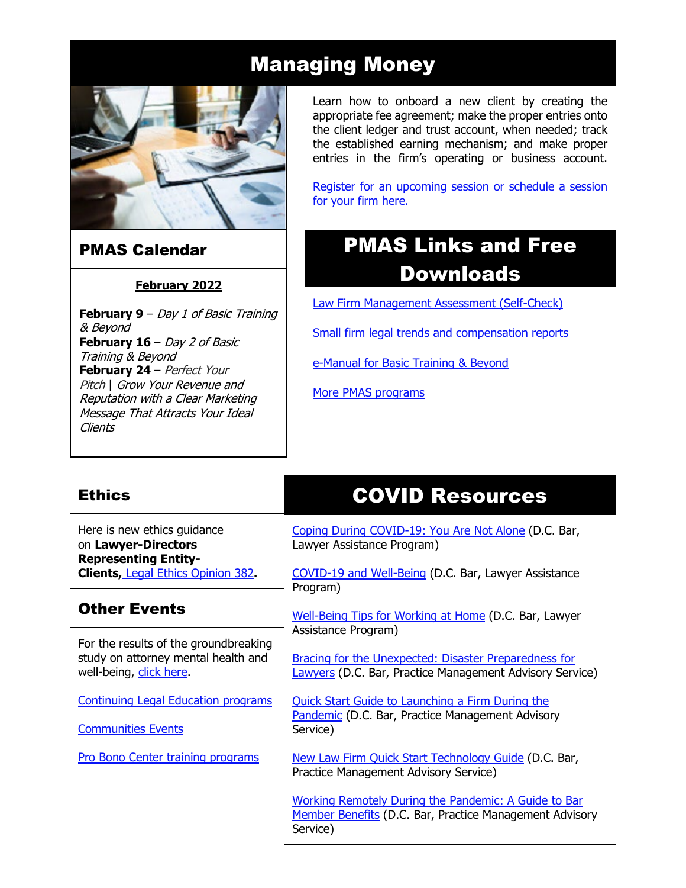### Managing Money



#### PMAS Calendar

#### **February 2022**

**February 9** – Day 1 of Basic Training & Beyond **February 16** – Day 2 of Basic Training & Beyond **February 24** – Perfect Your Pitch | Grow Your Revenue and Reputation with a Clear Marketing Message That Attracts Your Ideal Clients

Learn how to onboard a new client by creating the appropriate fee agreement; make the proper entries onto the client ledger and trust account, when needed; track the established earning mechanism; and make proper entries in the firm's operating or business account.

[Register for an upcoming session or schedule a session](https://www.dcbar.org/for-lawyers/practice-management-advisory-service/courses-and-trainings/managing-money?utm_source=Real%20Magnet&utm_medium=INSERT_CHANNEL&utm_campaign=INSERT_LINK_ID)  [for your firm here.](https://www.dcbar.org/for-lawyers/practice-management-advisory-service/courses-and-trainings/managing-money?utm_source=Real%20Magnet&utm_medium=INSERT_CHANNEL&utm_campaign=INSERT_LINK_ID) 

# PMAS Links and Free Downloads

[Law Firm Management Assessment \(Self-Check\)](https://www.dcbar.org/for-lawyers/practice-management-advisory-service/practice-tips-and-compliance/self-check?utm_source=Real%20Magnet&utm_medium=INSERT_CHANNEL&utm_campaign=INSERT_LINK_ID)

[Small firm legal trends and compensation reports](https://www.dcbar.org/for-lawyers/practice-management-advisory-service/courses-and-trainings/basic-training-beyond/basic-training-beyond-supplements?utm_source=Real%20Magnet&utm_medium=INSERT_CHANNEL&utm_campaign=INSERT_LINK_ID)

[e-Manual for Basic Training & Beyond](https://documentcloud.adobe.com/link/review?uri=urn:aaid:scds:US:2182dc5f-4a8c-435d-bb76-280eddc57a6d)

[More PMAS programs](https://www.dcbar.org/for-lawyers/practice-management-advisory-service/courses-and-trainings?utm_source=Real%20Magnet&utm_medium=INSERT_CHANNEL&utm_campaign=INSERT_LINK_ID)

#### **Ethics**

Here is new ethics guidance on **Lawyer-Directors Representing Entity-Clients,** [Legal Ethics Opinion 382](https://www.dcbar.org/For-Lawyers/Legal-Ethics/Ethics-Opinions-210-Present/Ethics-Opinion-382?utm_source=Real%20Magnet&utm_medium=INSERT_CHANNEL&utm_campaign=INSERT_LINK_ID)**.**

#### Other Events

For the results of the groundbreaking study on attorney mental health and well-being, [click here.](https://www.dcbar.org/news-events/news/california-lawyers-association-and-the-d-c-bar-ann?utm_source=Real%20Magnet&utm_medium=INSERT_CHANNEL&utm_campaign=INSERT_LINK_ID)

[Continuing Legal Education programs](https://dcbar.inreachce.com/SearchResults?searchType=1&category=b7426509-0fca-4650-bf8a-8c9ace05de88)

[Communities Events](https://join.dcbar.org/eweb/DynamicPage.aspx?site=dcbar&webcode=EventList&utm_source=Real%20Magnet&utm_medium=INSERT_CHANNEL&utm_campaign=INSERT_LINK_ID)

[Pro Bono Center training programs](https://www.dcbar.org/pro-bono/resources-and-training/pro-bono-center-training-program?utm_source=Real%20Magnet&utm_medium=INSERT_CHANNEL&utm_campaign=INSERT_LINK_ID)

## COVID Resources

[Coping During COVID-19: You Are Not Alone](https://www.dcbar.org/news-events/news/coping-during-covid-19-you-are-not-alone?utm_source=Real%20Magnet&utm_medium=INSERT_CHANNEL&utm_campaign=INSERT_LINK_ID) (D.C. Bar, Lawyer Assistance Program)

[COVID-19 and Well-Being](https://dcbarcms-uat3.i3digital.com/DCBar/i3Base/DCBar/For%20Lawyers/Lawyer%20Assistance%20Program/PDFs/covid-19-and-well-being.pdf) (D.C. Bar, Lawyer Assistance Program)

[Well-Being Tips for Working at Home](https://dcbarcms-uat3.i3digital.com/DCBar/i3Base/DCBar/For%20Lawyers/Lawyer%20Assistance%20Program/PDFs/Wellness-Tips-Working-From-Home.pdf) (D.C. Bar, Lawyer Assistance Program)

[Bracing for the Unexpected: Disaster Preparedness for](https://www.dcbar.org/news-events/news/bracing-for-the-unexpected-disaster-preparedness-f?utm_source=Real%20Magnet&utm_medium=INSERT_CHANNEL&utm_campaign=INSERT_LINK_ID)  [Lawyers](https://www.dcbar.org/news-events/news/bracing-for-the-unexpected-disaster-preparedness-f?utm_source=Real%20Magnet&utm_medium=INSERT_CHANNEL&utm_campaign=INSERT_LINK_ID) (D.C. Bar, Practice Management Advisory Service)

[Quick Start Guide to Launching a Firm During the](https://www.dcbar.org/getmedia/d28b7c4b-3dcb-419e-828d-fdc2340588f9/Career-disruption-setting-up-a-law-firm-quickly-resources?utm_source=Real%20Magnet&utm_medium=INSERT_CHANNEL&utm_campaign=INSERT_LINK_ID)  [Pandemic](https://www.dcbar.org/getmedia/d28b7c4b-3dcb-419e-828d-fdc2340588f9/Career-disruption-setting-up-a-law-firm-quickly-resources?utm_source=Real%20Magnet&utm_medium=INSERT_CHANNEL&utm_campaign=INSERT_LINK_ID) (D.C. Bar, Practice Management Advisory Service)

[New Law Firm Quick Start Technology Guide](https://www.dcbar.org/getmedia/34a3addd-9a13-4fc7-8e68-fbc2be8b50e0/Quick-start-Tech-Guide-final?utm_source=Real%20Magnet&utm_medium=INSERT_CHANNEL&utm_campaign=INSERT_LINK_ID) (D.C. Bar, Practice Management Advisory Service)

[Working Remotely During the Pandemic: A Guide to Bar](https://www.dcbar.org/news-events/news/working-remotely-during-the-pandemic-a-guide-to-ba?utm_source=Real%20Magnet&utm_medium=INSERT_CHANNEL&utm_campaign=INSERT_LINK_ID)  [Member Benefits](https://www.dcbar.org/news-events/news/working-remotely-during-the-pandemic-a-guide-to-ba?utm_source=Real%20Magnet&utm_medium=INSERT_CHANNEL&utm_campaign=INSERT_LINK_ID) (D.C. Bar, Practice Management Advisory Service)